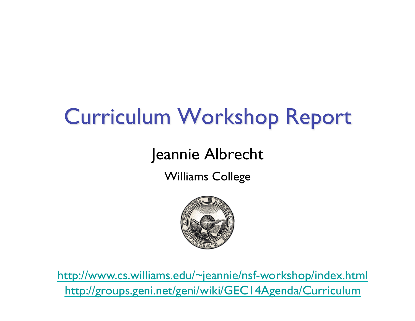### **Curriculum Workshop Report**

#### Jeannie Albrecht

Williams College



http://www.cs.williams.edu/~jeannie/nsf-workshop/index.html http://groups.geni.net/geni/wiki/GEC14Agenda/Curriculum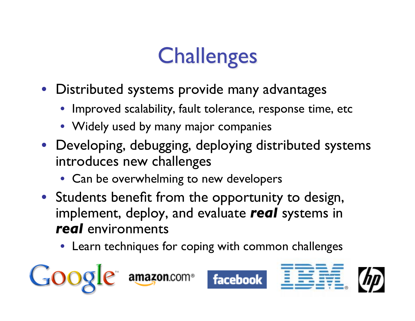## **Challenges**

- Distributed systems provide many advantages
	- Improved scalability, fault tolerance, response time, etc
	- Widely used by many major companies
- Developing, debugging, deploying distributed systems introduces new challenges
	- Can be overwhelming to new developers
- Students benefit from the opportunity to design, implement, deploy, and evaluate *real* systems in *real* environments
	- Learn techniques for coping with common challenges

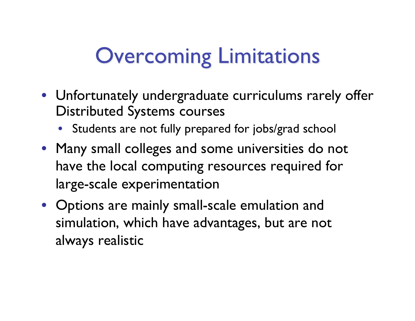### **Overcoming Limitations**

- Unfortunately undergraduate curriculums rarely offer Distributed Systems courses
	- Students are not fully prepared for jobs/grad school
- Many small colleges and some universities do not have the local computing resources required for large-scale experimentation
- Options are mainly small-scale emulation and simulation, which have advantages, but are not always realistic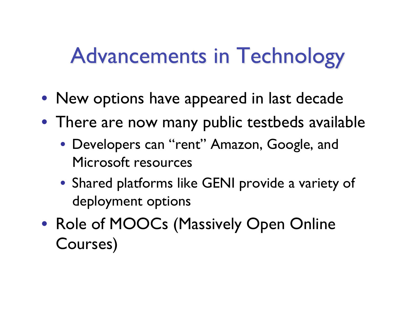### **Advancements in Technology**

- New options have appeared in last decade
- There are now many public testbeds available
	- Developers can "rent" Amazon, Google, and Microsoft resources
	- Shared platforms like GENI provide a variety of deployment options
- Role of MOOCs (Massively Open Online Courses)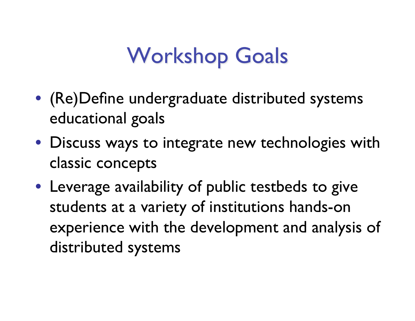### **Workshop Goals**

- (Re)Define undergraduate distributed systems educational goals
- Discuss ways to integrate new technologies with classic concepts
- Leverage availability of public testbeds to give students at a variety of institutions hands-on experience with the development and analysis of distributed systems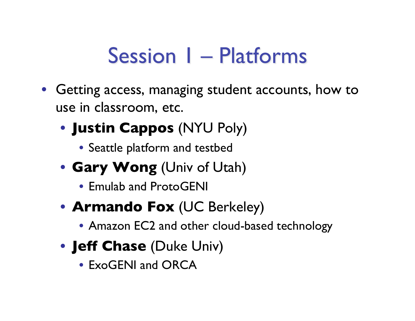#### **Session I - Platforms**

- Getting access, managing student accounts, how to use in classroom, etc.
	- **Justin Cappos** (NYU Poly)
		- Seattle platform and testbed
	- **Gary Wong** (Univ of Utah)
		- Emulab and ProtoGENI
	- **Armando Fox** (UC Berkeley)
		- Amazon EC2 and other cloud-based technology
	- **Jeff Chase** (Duke Univ)
		- ExoGENI and ORCA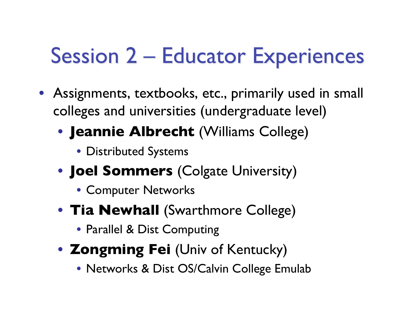#### **Session 2 – Educator Experiences**

- Assignments, textbooks, etc., primarily used in small colleges and universities (undergraduate level)
	- **Jeannie Albrecht** (Williams College)
		- Distributed Systems
	- **Joel Sommers** (Colgate University)
		- Computer Networks
	- **Tia Newhall** (Swarthmore College)
		- Parallel & Dist Computing
	- **Zongming Fei** (Univ of Kentucky)
		- Networks & Dist OS/Calvin College Emulab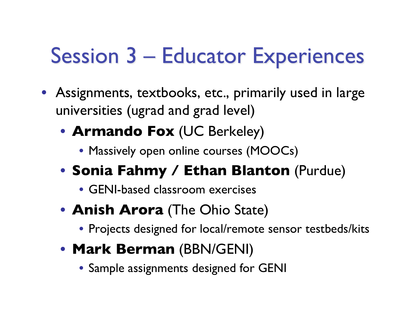#### **Session 3 - Educator Experiences**

- Assignments, textbooks, etc., primarily used in large universities (ugrad and grad level)
	- **Armando Fox** (UC Berkeley)
		- Massively open online courses (MOOCs)
	- **Sonia Fahmy / Ethan Blanton** (Purdue)
		- GENI-based classroom exercises
	- **Anish Arora** (The Ohio State)
		- Projects designed for local/remote sensor testbeds/kits
	- **Mark Berman** (BBN/GENI)
		- Sample assignments designed for GENI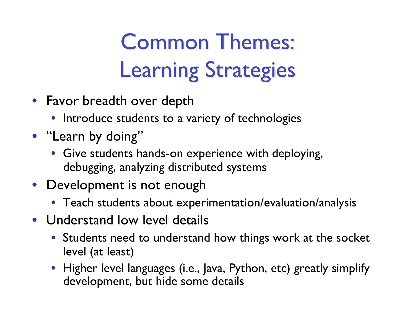# **Common Themes: Learning Strategies**

- Favor breadth over depth
	- Introduce students to a variety of technologies
- "Learn by doing"
	- Give students hands-on experience with deploying, debugging, analyzing distributed systems
- Development is not enough
	- Teach students about experimentation/evaluation/analysis
- Understand low level details
	- Students need to understand how things work at the socket level (at least)
	- Higher level languages (i.e., Java, Python, etc) greatly simplify development, but hide some details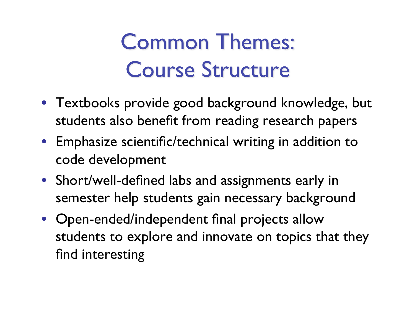# **Common Themes: Course Structure**

- Textbooks provide good background knowledge, but students also benefit from reading research papers
- Emphasize scientific/technical writing in addition to code development
- Short/well-defined labs and assignments early in semester help students gain necessary background
- Open-ended/independent final projects allow students to explore and innovate on topics that they find interesting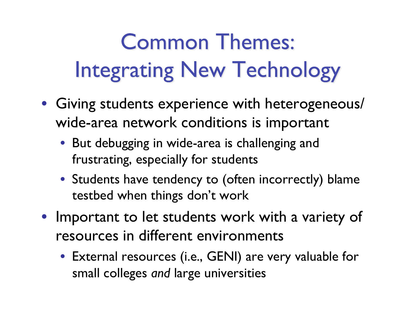# **Common Themes: Integrating New Technology**

- Giving students experience with heterogeneous/ wide-area network conditions is important
	- But debugging in wide-area is challenging and frustrating, especially for students
	- Students have tendency to (often incorrectly) blame testbed when things don't work
- Important to let students work with a variety of resources in different environments
	- External resources (i.e., GENI) are very valuable for small colleges *and* large universities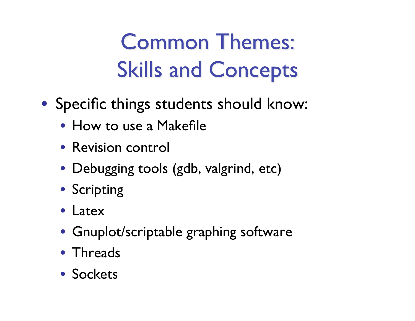# **Common Themes: Skills and Concepts**

- Specific things students should know:
	- How to use a Makefile
	- Revision control
	- Debugging tools (gdb, valgrind, etc)
	- Scripting
	- Latex
	- Gnuplot/scriptable graphing software
	- Threads
	- Sockets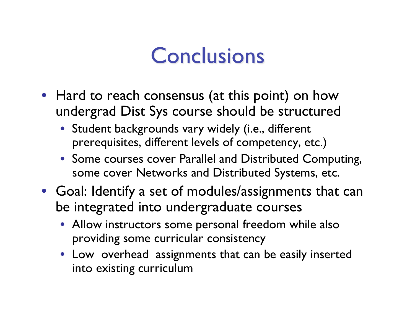#### **Conclusions**

- Hard to reach consensus (at this point) on how undergrad Dist Sys course should be structured
	- Student backgrounds vary widely (i.e., different prerequisites, different levels of competency, etc.)
	- Some courses cover Parallel and Distributed Computing, some cover Networks and Distributed Systems, etc.
- Goal: Identify a set of modules/assignments that can be integrated into undergraduate courses
	- Allow instructors some personal freedom while also providing some curricular consistency
	- Low overhead assignments that can be easily inserted into existing curriculum